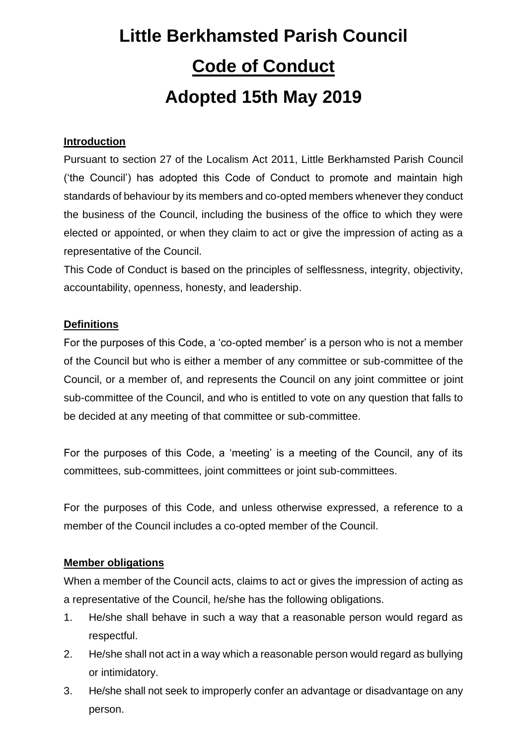# **Little Berkhamsted Parish Council Code of Conduct Adopted 15th May 2019**

## **Introduction**

Pursuant to section 27 of the Localism Act 2011, Little Berkhamsted Parish Council ('the Council') has adopted this Code of Conduct to promote and maintain high standards of behaviour by its members and co-opted members whenever they conduct the business of the Council, including the business of the office to which they were elected or appointed, or when they claim to act or give the impression of acting as a representative of the Council.

This Code of Conduct is based on the principles of selflessness, integrity, objectivity, accountability, openness, honesty, and leadership.

#### **Definitions**

For the purposes of this Code, a 'co-opted member' is a person who is not a member of the Council but who is either a member of any committee or sub-committee of the Council, or a member of, and represents the Council on any joint committee or joint sub-committee of the Council, and who is entitled to vote on any question that falls to be decided at any meeting of that committee or sub-committee.

For the purposes of this Code, a 'meeting' is a meeting of the Council, any of its committees, sub-committees, joint committees or joint sub-committees.

For the purposes of this Code, and unless otherwise expressed, a reference to a member of the Council includes a co-opted member of the Council.

#### **Member obligations**

When a member of the Council acts, claims to act or gives the impression of acting as a representative of the Council, he/she has the following obligations.

- 1. He/she shall behave in such a way that a reasonable person would regard as respectful.
- 2. He/she shall not act in a way which a reasonable person would regard as bullying or intimidatory.
- 3. He/she shall not seek to improperly confer an advantage or disadvantage on any person.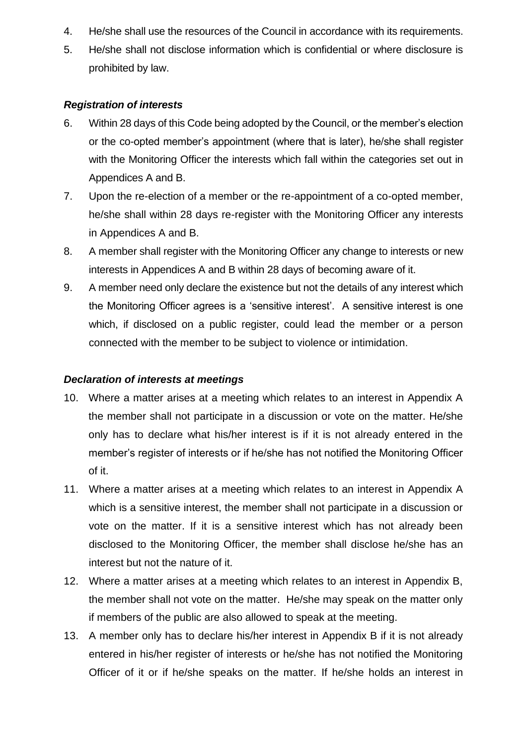- 4. He/she shall use the resources of the Council in accordance with its requirements.
- 5. He/she shall not disclose information which is confidential or where disclosure is prohibited by law.

## *Registration of interests*

- 6. Within 28 days of this Code being adopted by the Council, or the member's election or the co-opted member's appointment (where that is later), he/she shall register with the Monitoring Officer the interests which fall within the categories set out in Appendices A and B.
- 7. Upon the re-election of a member or the re-appointment of a co-opted member, he/she shall within 28 days re-register with the Monitoring Officer any interests in Appendices A and B.
- 8. A member shall register with the Monitoring Officer any change to interests or new interests in Appendices A and B within 28 days of becoming aware of it.
- 9. A member need only declare the existence but not the details of any interest which the Monitoring Officer agrees is a 'sensitive interest'. A sensitive interest is one which, if disclosed on a public register, could lead the member or a person connected with the member to be subject to violence or intimidation.

# *Declaration of interests at meetings*

- 10. Where a matter arises at a meeting which relates to an interest in Appendix A the member shall not participate in a discussion or vote on the matter. He/she only has to declare what his/her interest is if it is not already entered in the member's register of interests or if he/she has not notified the Monitoring Officer of it.
- 11. Where a matter arises at a meeting which relates to an interest in Appendix A which is a sensitive interest, the member shall not participate in a discussion or vote on the matter. If it is a sensitive interest which has not already been disclosed to the Monitoring Officer, the member shall disclose he/she has an interest but not the nature of it.
- 12. Where a matter arises at a meeting which relates to an interest in Appendix B, the member shall not vote on the matter. He/she may speak on the matter only if members of the public are also allowed to speak at the meeting.
- 13. A member only has to declare his/her interest in Appendix B if it is not already entered in his/her register of interests or he/she has not notified the Monitoring Officer of it or if he/she speaks on the matter. If he/she holds an interest in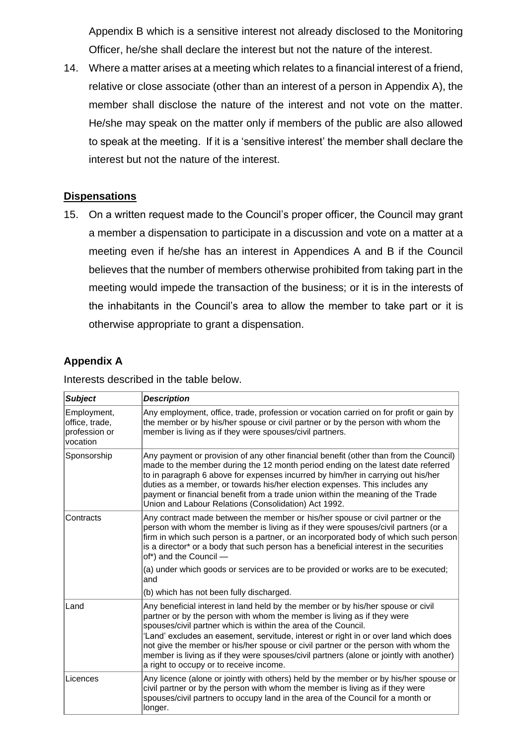Appendix B which is a sensitive interest not already disclosed to the Monitoring Officer, he/she shall declare the interest but not the nature of the interest.

14. Where a matter arises at a meeting which relates to a financial interest of a friend, relative or close associate (other than an interest of a person in Appendix A), the member shall disclose the nature of the interest and not vote on the matter. He/she may speak on the matter only if members of the public are also allowed to speak at the meeting. If it is a 'sensitive interest' the member shall declare the interest but not the nature of the interest.

## **Dispensations**

15. On a written request made to the Council's proper officer, the Council may grant a member a dispensation to participate in a discussion and vote on a matter at a meeting even if he/she has an interest in Appendices A and B if the Council believes that the number of members otherwise prohibited from taking part in the meeting would impede the transaction of the business; or it is in the interests of the inhabitants in the Council's area to allow the member to take part or it is otherwise appropriate to grant a dispensation.

## **Appendix A**

Interests described in the table below.

| <b>Subject</b>                                             | <b>Description</b>                                                                                                                                                                                                                                                                                                                                                                                                                                                                                                                                |
|------------------------------------------------------------|---------------------------------------------------------------------------------------------------------------------------------------------------------------------------------------------------------------------------------------------------------------------------------------------------------------------------------------------------------------------------------------------------------------------------------------------------------------------------------------------------------------------------------------------------|
| Employment,<br>office, trade,<br>profession or<br>vocation | Any employment, office, trade, profession or vocation carried on for profit or gain by<br>the member or by his/her spouse or civil partner or by the person with whom the<br>member is living as if they were spouses/civil partners.                                                                                                                                                                                                                                                                                                             |
| Sponsorship                                                | Any payment or provision of any other financial benefit (other than from the Council)<br>made to the member during the 12 month period ending on the latest date referred<br>to in paragraph 6 above for expenses incurred by him/her in carrying out his/her<br>duties as a member, or towards his/her election expenses. This includes any<br>payment or financial benefit from a trade union within the meaning of the Trade<br>Union and Labour Relations (Consolidation) Act 1992.                                                           |
| Contracts                                                  | Any contract made between the member or his/her spouse or civil partner or the<br>person with whom the member is living as if they were spouses/civil partners (or a<br>firm in which such person is a partner, or an incorporated body of which such person<br>is a director* or a body that such person has a beneficial interest in the securities<br>of*) and the Council -                                                                                                                                                                   |
|                                                            | (a) under which goods or services are to be provided or works are to be executed;<br>and                                                                                                                                                                                                                                                                                                                                                                                                                                                          |
|                                                            | (b) which has not been fully discharged.                                                                                                                                                                                                                                                                                                                                                                                                                                                                                                          |
| Land                                                       | Any beneficial interest in land held by the member or by his/her spouse or civil<br>partner or by the person with whom the member is living as if they were<br>spouses/civil partner which is within the area of the Council.<br>'Land' excludes an easement, servitude, interest or right in or over land which does<br>not give the member or his/her spouse or civil partner or the person with whom the<br>member is living as if they were spouses/civil partners (alone or jointly with another)<br>a right to occupy or to receive income. |
| Licences                                                   | Any licence (alone or jointly with others) held by the member or by his/her spouse or<br>civil partner or by the person with whom the member is living as if they were<br>spouses/civil partners to occupy land in the area of the Council for a month or<br>longer.                                                                                                                                                                                                                                                                              |